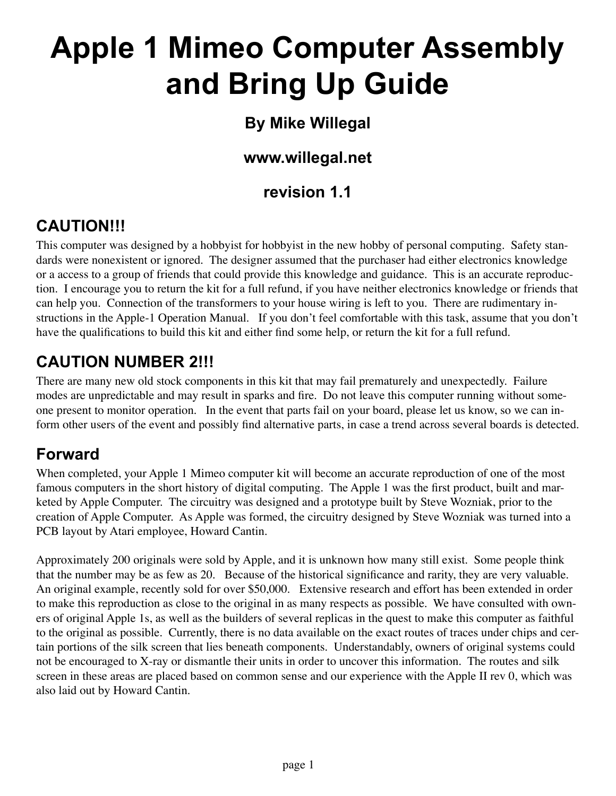# **Apple 1 Mimeo Computer Assembly and Bring Up Guide**

# **By Mike Willegal**

# **www.willegal.net**

# **revision 1.1**

# **CAUTION!!!**

This computer was designed by a hobbyist for hobbyist in the new hobby of personal computing. Safety standards were nonexistent or ignored. The designer assumed that the purchaser had either electronics knowledge or a access to a group of friends that could provide this knowledge and guidance. This is an accurate reproduction. I encourage you to return the kit for a full refund, if you have neither electronics knowledge or friends that can help you. Connection of the transformers to your house wiring is left to you. There are rudimentary instructions in the Apple-1 Operation Manual. If you don't feel comfortable with this task, assume that you don't have the qualifications to build this kit and either find some help, or return the kit for a full refund.

# **CAUTION NUMBER 2!!!**

There are many new old stock components in this kit that may fail prematurely and unexpectedly. Failure modes are unpredictable and may result in sparks and fire. Do not leave this computer running without someone present to monitor operation. In the event that parts fail on your board, please let us know, so we can inform other users of the event and possibly find alternative parts, in case a trend across several boards is detected.

# **Forward**

When completed, your Apple 1 Mimeo computer kit will become an accurate reproduction of one of the most famous computers in the short history of digital computing. The Apple 1 was the first product, built and marketed by Apple Computer. The circuitry was designed and a prototype built by Steve Wozniak, prior to the creation of Apple Computer. As Apple was formed, the circuitry designed by Steve Wozniak was turned into a PCB layout by Atari employee, Howard Cantin.

Approximately 200 originals were sold by Apple, and it is unknown how many still exist. Some people think that the number may be as few as 20. Because of the historical significance and rarity, they are very valuable. An original example, recently sold for over \$50,000. Extensive research and effort has been extended in order to make this reproduction as close to the original in as many respects as possible. We have consulted with owners of original Apple 1s, as well as the builders of several replicas in the quest to make this computer as faithful to the original as possible. Currently, there is no data available on the exact routes of traces under chips and certain portions of the silk screen that lies beneath components. Understandably, owners of original systems could not be encouraged to X-ray or dismantle their units in order to uncover this information. The routes and silk screen in these areas are placed based on common sense and our experience with the Apple II rev 0, which was also laid out by Howard Cantin.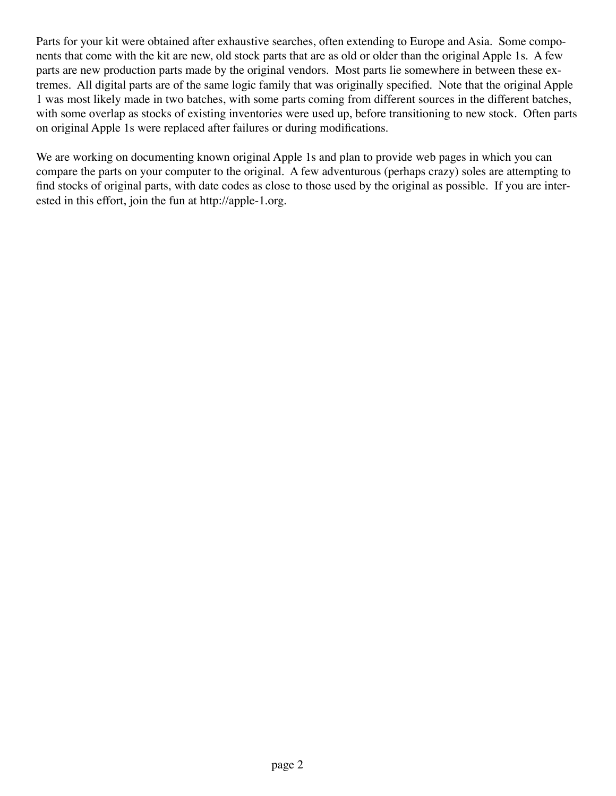Parts for your kit were obtained after exhaustive searches, often extending to Europe and Asia. Some components that come with the kit are new, old stock parts that are as old or older than the original Apple 1s. A few parts are new production parts made by the original vendors. Most parts lie somewhere in between these extremes. All digital parts are of the same logic family that was originally specified. Note that the original Apple 1 was most likely made in two batches, with some parts coming from different sources in the different batches, with some overlap as stocks of existing inventories were used up, before transitioning to new stock. Often parts on original Apple 1s were replaced after failures or during modifications.

We are working on documenting known original Apple 1s and plan to provide web pages in which you can compare the parts on your computer to the original. A few adventurous (perhaps crazy) soles are attempting to find stocks of original parts, with date codes as close to those used by the original as possible. If you are interested in this effort, join the fun at http://apple-1.org.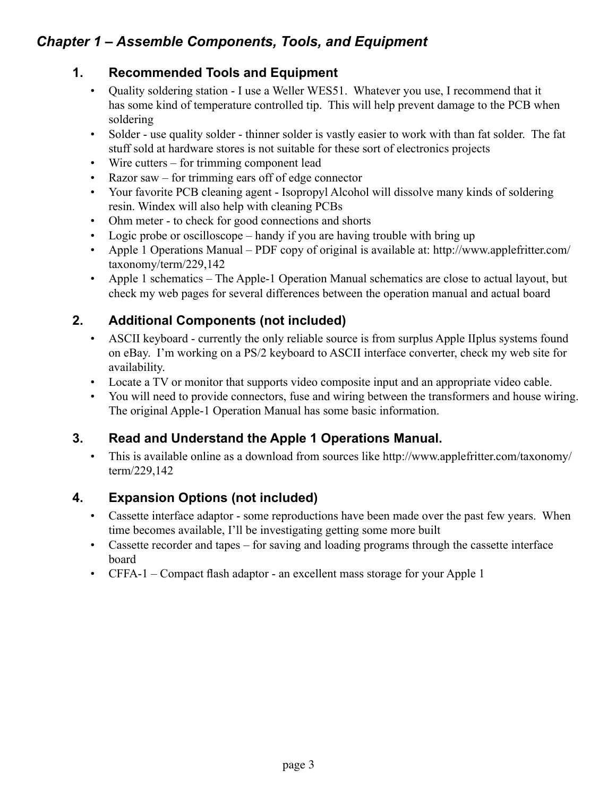# *Chapter 1 – Assemble Components, Tools, and Equipment*

#### **1. Recommended Tools and Equipment**

- Quality soldering station I use a Weller WES51. Whatever you use, I recommend that it has some kind of temperature controlled tip. This will help prevent damage to the PCB when soldering
- Solder use quality solder thinner solder is vastly easier to work with than fat solder. The fat stuff sold at hardware stores is not suitable for these sort of electronics projects
- Wire cutters for trimming component lead
- Razor saw for trimming ears off of edge connector
- Your favorite PCB cleaning agent Isopropyl Alcohol will dissolve many kinds of soldering resin. Windex will also help with cleaning PCBs
- Ohm meter to check for good connections and shorts
- Logic probe or oscilloscope handy if you are having trouble with bring up
- Apple 1 Operations Manual PDF copy of original is available at: http://www.applefritter.com/ taxonomy/term/229,142
- Apple 1 schematics The Apple-1 Operation Manual schematics are close to actual layout, but check my web pages for several differences between the operation manual and actual board

# **2. Additional Components (not included)**

- ASCII keyboard currently the only reliable source is from surplus Apple IIplus systems found on eBay. I'm working on a PS/2 keyboard to ASCII interface converter, check my web site for availability.
- Locate a TV or monitor that supports video composite input and an appropriate video cable.
- You will need to provide connectors, fuse and wiring between the transformers and house wiring. The original Apple-1 Operation Manual has some basic information. •

# **3. Read and Understand the Apple 1 Operations Manual.**

• This is available online as a download from sources like http://www.applefritter.com/taxonomy/ term/229,142

# **4. Expansion Options (not included)**

- Cassette interface adaptor some reproductions have been made over the past few years. When time becomes available, I'll be investigating getting some more built
- Cassette recorder and tapes for saving and loading programs through the cassette interface board
- CFFA-1 Compact flash adaptor an excellent mass storage for your Apple 1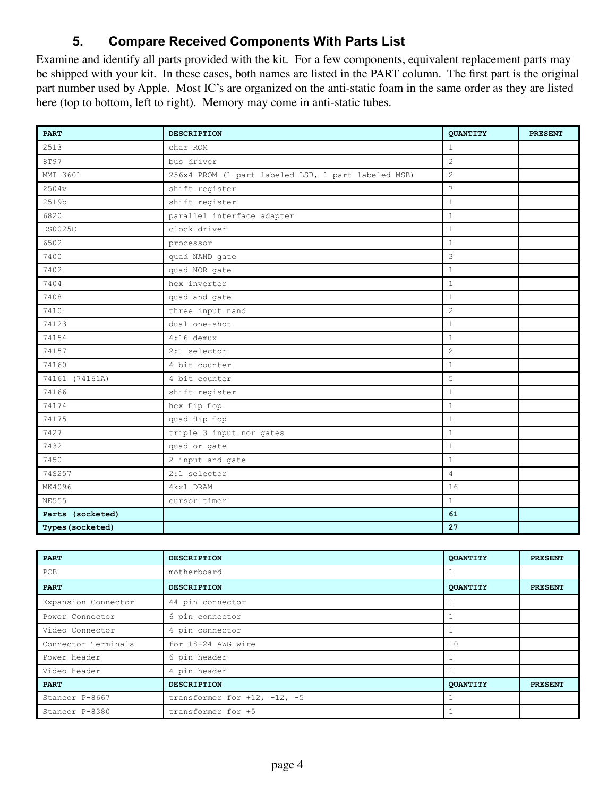#### **5. Compare Received Components With Parts List**

Examine and identify all parts provided with the kit. For a few components, equivalent replacement parts may be shipped with your kit. In these cases, both names are listed in the PART column. The first part is the original part number used by Apple. Most IC's are organized on the anti-static foam in the same order as they are listed here (top to bottom, left to right). Memory may come in anti-static tubes.

| <b>PART</b>      | <b>DESCRIPTION</b>                                  | QUANTITY        | <b>PRESENT</b> |
|------------------|-----------------------------------------------------|-----------------|----------------|
| 2513             | char ROM                                            | $\mathbf{1}$    |                |
| 8T97             | bus driver                                          | 2               |                |
| MMI 3601         | 256x4 PROM (1 part labeled LSB, 1 part labeled MSB) | 2               |                |
| 2504v            | shift register                                      | $7\phantom{.0}$ |                |
| 2519b            | shift register                                      | $\mathbf{1}$    |                |
| 6820             | parallel interface adapter                          | $\mathbf{1}$    |                |
| DS0025C          | clock driver                                        | $\mathbf{1}$    |                |
| 6502             | processor                                           | $\mathbf{1}$    |                |
| 7400             | quad NAND gate                                      | 3               |                |
| 7402             | quad NOR gate                                       | $\mathbf{1}$    |                |
| 7404             | hex inverter                                        | $\mathbf{1}$    |                |
| 7408             | quad and gate                                       | $\mathbf{1}$    |                |
| 7410             | three input nand                                    | 2               |                |
| 74123            | dual one-shot                                       | $\mathbf{1}$    |                |
| 74154            | $4:16$ demux                                        | $\mathbf{1}$    |                |
| 74157            | 2:1 selector                                        | $\overline{c}$  |                |
| 74160            | 4 bit counter                                       | $\mathbf{1}$    |                |
| 74161 (74161A)   | 4 bit counter                                       | 5               |                |
| 74166            | shift register                                      | $\mathbf{1}$    |                |
| 74174            | hex flip flop                                       | $\mathbf{1}$    |                |
| 74175            | quad flip flop                                      | $\mathbf{1}$    |                |
| 7427             | triple 3 input nor gates                            | $\mathbf{1}$    |                |
| 7432             | quad or gate                                        | $1\,$           |                |
| 7450             | 2 input and gate                                    | $\mathbf{1}$    |                |
| 74S257           | 2:1 selector                                        | $\overline{4}$  |                |
| MK4096           | 4kx1 DRAM                                           | 16              |                |
| <b>NE555</b>     | cursor timer                                        | $\mathbf{1}$    |                |
| Parts (socketed) |                                                     | 61              |                |
| Types (socketed) |                                                     | 27              |                |

| <b>PART</b>         | <b>DESCRIPTION</b>                   | QUANTITY        | <b>PRESENT</b> |
|---------------------|--------------------------------------|-----------------|----------------|
| PCB                 | motherboard                          |                 |                |
| <b>PART</b>         | <b>DESCRIPTION</b>                   | QUANTITY        | <b>PRESENT</b> |
| Expansion Connector | 44 pin connector                     |                 |                |
| Power Connector     | 6 pin connector                      |                 |                |
| Video Connector     | 4 pin connector                      |                 |                |
| Connector Terminals | for 18-24 AWG wire                   | 10              |                |
| Power header        | 6 pin header                         |                 |                |
| Video header        | 4 pin header                         |                 |                |
| <b>PART</b>         | <b>DESCRIPTION</b>                   | <b>QUANTITY</b> | <b>PRESENT</b> |
| Stancor P-8667      | transformer for $+12$ , $-12$ , $-5$ |                 |                |
| Stancor P-8380      | transformer for +5                   |                 |                |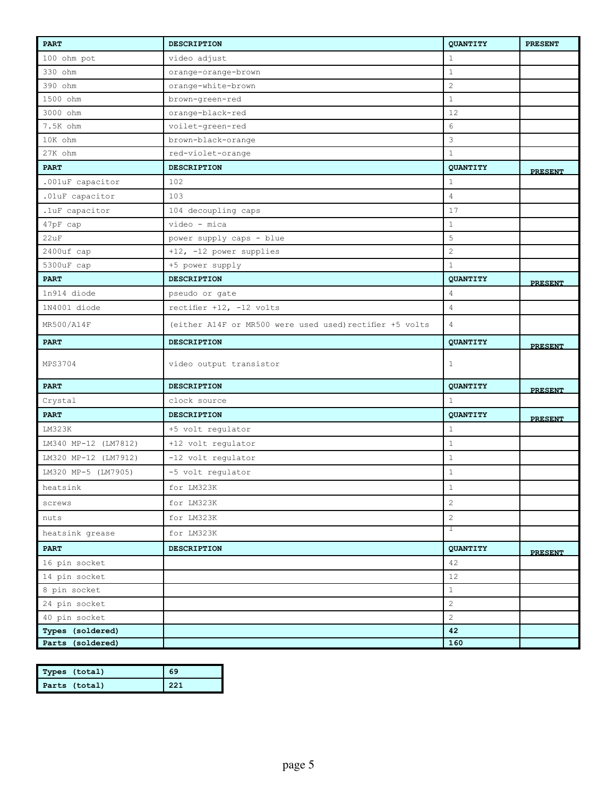| <b>PART</b>          | <b>DESCRIPTION</b>                                       | <b>QUANTITY</b> | <b>PRESENT</b> |
|----------------------|----------------------------------------------------------|-----------------|----------------|
| 100 ohm pot          | video adjust                                             | $\mathbf{1}$    |                |
| 330 ohm              | orange-orange-brown                                      | $\mathbf{1}$    |                |
| 390 ohm              | orange-white-brown                                       | $\sqrt{2}$      |                |
| 1500 ohm             | brown-green-red                                          | $\mathbf{1}$    |                |
| 3000 ohm             | orange-black-red                                         | 12              |                |
| 7.5K ohm             | voilet-green-red                                         | $6\,$           |                |
| 10K ohm              | brown-black-orange                                       | 3               |                |
| 27K ohm              | red-violet-orange                                        | $\mathbf{1}$    |                |
| <b>PART</b>          | <b>DESCRIPTION</b>                                       | QUANTITY        | <b>PRESENT</b> |
| .001uF capacitor     | 102                                                      | $\mathbf{1}$    |                |
| .01uF capacitor      | 103                                                      | $\overline{4}$  |                |
| .1uF capacitor       | 104 decoupling caps                                      | 17              |                |
| 47pF cap             | video - mica                                             | $\mathbf{1}$    |                |
| 22uF                 | power supply caps - blue                                 | 5               |                |
| 2400uf cap           | +12, -12 power supplies                                  | $\overline{2}$  |                |
| 5300uF cap           | +5 power supply                                          | $\mathbf{1}$    |                |
| <b>PART</b>          | <b>DESCRIPTION</b>                                       | QUANTITY        | <b>PRESENT</b> |
| 1n914 diode          | pseudo or gate                                           | $\overline{4}$  |                |
| 1N4001 diode         | rectifier +12, -12 volts                                 | $\overline{4}$  |                |
| MR500/A14F           | (either A14F or MR500 were used used) rectifier +5 volts | $\overline{4}$  |                |
| <b>PART</b>          | <b>DESCRIPTION</b>                                       | QUANTITY        | <b>PRESENT</b> |
| MPS3704              | video output transistor                                  | $\mathbf{1}$    |                |
| <b>PART</b>          | <b>DESCRIPTION</b>                                       | QUANTITY        | <b>PRESENT</b> |
| Crystal              | clock source                                             | $\mathbf{1}$    |                |
| <b>PART</b>          | <b>DESCRIPTION</b>                                       | QUANTITY        | <b>PRESENT</b> |
| LM323K               | +5 volt regulator                                        | $\mathbf{1}$    |                |
| LM340 MP-12 (LM7812) | +12 volt regulator                                       | $\mathbf{1}$    |                |
| LM320 MP-12 (LM7912) | -12 volt regulator                                       | $\mathbf{1}$    |                |
| LM320 MP-5 (LM7905)  | -5 volt regulator                                        | $\mathbf{1}$    |                |
| heatsink             | for LM323K                                               | $\mathbf 1$     |                |
| screws               | for LM323K                                               | $\overline{c}$  |                |
| nuts                 | for LM323K                                               | $\overline{2}$  |                |
| heatsink grease      | for LM323K                                               | $\mathbf{1}$    |                |
| <b>PART</b>          | DESCRIPTION                                              | QUANTITY        | <b>PRESENT</b> |
| 16 pin socket        |                                                          | 42              |                |
| 14 pin socket        |                                                          | 12              |                |
| 8 pin socket         |                                                          | $1\,$           |                |
| 24 pin socket        |                                                          | $\overline{2}$  |                |
| 40 pin socket        |                                                          | $\overline{2}$  |                |
| Types (soldered)     |                                                          | 42              |                |
| Parts (soldered)     |                                                          | 160             |                |

| Types (total) | 69  |
|---------------|-----|
| Parts (total) | 221 |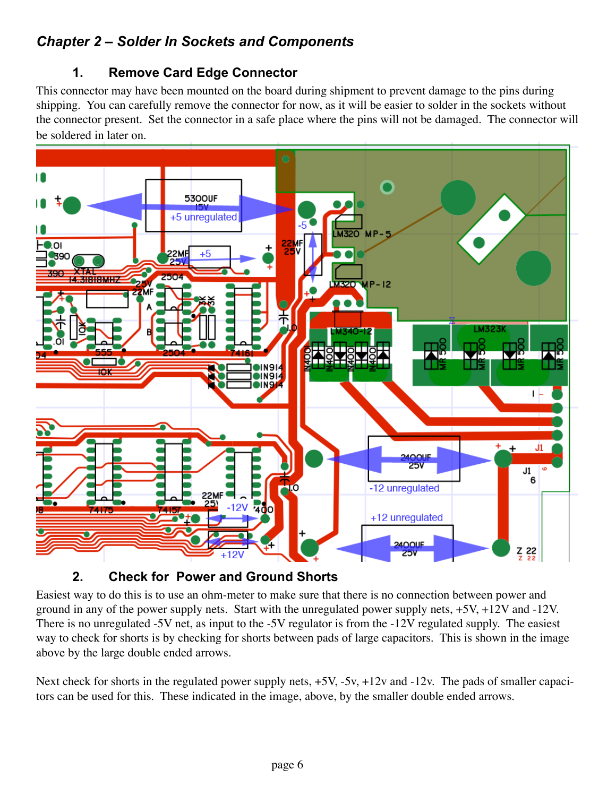# *Chapter 2 – Solder In Sockets and Components*

#### **1. Remove Card Edge Connector**

This connector may have been mounted on the board during shipment to prevent damage to the pins during shipping. You can carefully remove the connector for now, as it will be easier to solder in the sockets without the connector present. Set the connector in a safe place where the pins will not be damaged. The connector will be soldered in later on.



#### **2. Check for Power and Ground Shorts**

Easiest way to do this is to use an ohm-meter to make sure that there is no connection between power and ground in any of the power supply nets. Start with the unregulated power supply nets, +5V, +12V and -12V. There is no unregulated -5V net, as input to the -5V regulator is from the -12V regulated supply. The easiest way to check for shorts is by checking for shorts between pads of large capacitors. This is shown in the image above by the large double ended arrows.

Next check for shorts in the regulated power supply nets,  $+5V$ ,  $-5v$ ,  $+12v$  and  $-12v$ . The pads of smaller capacitors can be used for this. These indicated in the image, above, by the smaller double ended arrows.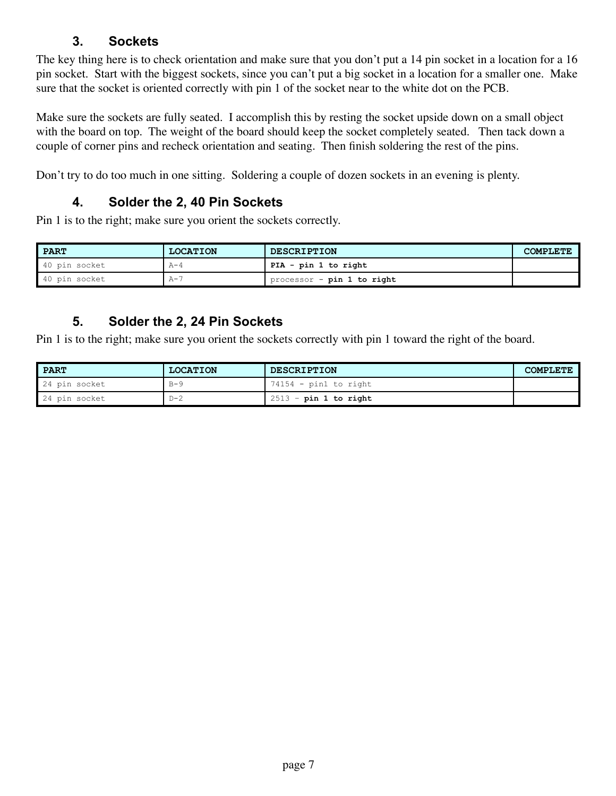#### **3. Sockets**

The key thing here is to check orientation and make sure that you don't put a 14 pin socket in a location for a 16 pin socket. Start with the biggest sockets, since you can't put a big socket in a location for a smaller one. Make sure that the socket is oriented correctly with pin 1 of the socket near to the white dot on the PCB.

Make sure the sockets are fully seated. I accomplish this by resting the socket upside down on a small object with the board on top. The weight of the board should keep the socket completely seated. Then tack down a couple of corner pins and recheck orientation and seating. Then finish soldering the rest of the pins.

Don't try to do too much in one sitting. Soldering a couple of dozen sockets in an evening is plenty.

#### **4. Solder the 2, 40 Pin Sockets**

Pin 1 is to the right; make sure you orient the sockets correctly.

| PART          | <b>LOCATION</b> | <b>DESCRIPTION</b>         | <b>COMPLETE</b> |
|---------------|-----------------|----------------------------|-----------------|
| 40 pin socket | А-4             | PIA - pin 1 to right       |                 |
| 40 pin socket | ∧ — "           | processor - pin 1 to right |                 |

#### **5. Solder the 2, 24 Pin Sockets**

Pin 1 is to the right; make sure you orient the sockets correctly with pin 1 toward the right of the board.

| PART          | <b>LOCATION</b> | <b>DESCRIPTION</b>       | <b>COMPLETE</b> |
|---------------|-----------------|--------------------------|-----------------|
| 24 pin socket | $B - 9$         | 74154 - pin1 to right    |                 |
| 24 pin socket | $D - 2$         | $12513$ - pin 1 to right |                 |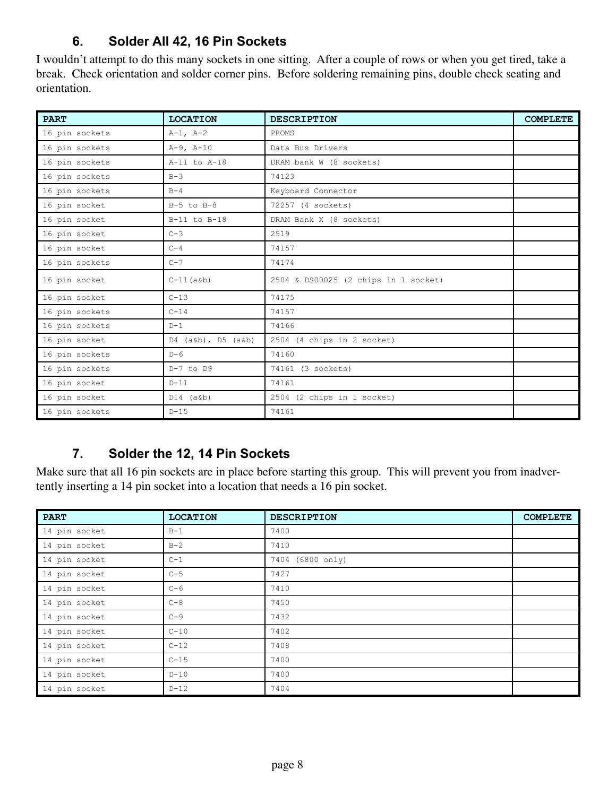#### **6. Solder All 42, 16 Pin Sockets**

I wouldn't attempt to do this many sockets in one sitting. After a couple of rows or when you get tired, take a break. Check orientation and solder corner pins. Before soldering remaining pins, double check seating and orientation.

| <b>PART</b>    | <b>LOCATION</b>        | <b>DESCRIPTION</b>                   | <b>COMPLETE</b> |
|----------------|------------------------|--------------------------------------|-----------------|
| 16 pin sockets | $A-1, A-2$             | PROMS                                |                 |
| 16 pin sockets | $A-9$ , $A-10$         | Data Bus Drivers                     |                 |
| 16 pin sockets | $A-11$ to $A-18$       | DRAM bank W (8 sockets)              |                 |
| 16 pin sockets | $B-3$                  | 74123                                |                 |
| 16 pin sockets | $B-4$                  | Keyboard Connector                   |                 |
| 16 pin socket  | $B-5$ to $B-8$         | 72257 (4 sockets)                    |                 |
| 16 pin socket  | B-11 to B-18           | DRAM Bank X (8 sockets)              |                 |
| 16 pin socket  | $C-3$                  | 2519                                 |                 |
| 16 pin socket  | $C-4$                  | 74157                                |                 |
| 16 pin sockets | $C-7$                  | 74174                                |                 |
| 16 pin socket  | $C-11(a\&b)$           | 2504 & DS00025 (2 chips in 1 socket) |                 |
| 16 pin socket  | $C-13$                 | 74175                                |                 |
| 16 pin sockets | $C-14$                 | 74157                                |                 |
| 16 pin sockets | $D-1$                  | 74166                                |                 |
| 16 pin socket  | $D4$ (a&b), $D5$ (a&b) | 2504 (4 chips in 2 socket)           |                 |
| 16 pin sockets | $D-6$                  | 74160                                |                 |
| 16 pin sockets | $D-7$ to $D9$          | 74161 (3 sockets)                    |                 |
| 16 pin socket  | $D-11$                 | 74161                                |                 |
| 16 pin socket  | $D14$ $(a\&b)$         | 2504 (2 chips in 1 socket)           |                 |
| 16 pin sockets | $D-15$                 | 74161                                |                 |

# **7. Solder the 12, 14 Pin Sockets**

Make sure that all 16 pin sockets are in place before starting this group. This will prevent you from inadvertently inserting a 14 pin socket into a location that needs a 16 pin socket.

| <b>PART</b>   | <b>LOCATION</b> | <b>DESCRIPTION</b> | <b>COMPLETE</b> |
|---------------|-----------------|--------------------|-----------------|
| 14 pin socket | $B-1$           | 7400               |                 |
| 14 pin socket | $B-2$           | 7410               |                 |
| 14 pin socket | $C-1$           | 7404 (6800 only)   |                 |
| 14 pin socket | $C-5$           | 7427               |                 |
| 14 pin socket | $C-6$           | 7410               |                 |
| 14 pin socket | $C-8$           | 7450               |                 |
| 14 pin socket | $C-9$           | 7432               |                 |
| 14 pin socket | $C-10$          | 7402               |                 |
| 14 pin socket | $C-12$          | 7408               |                 |
| 14 pin socket | $C-15$          | 7400               |                 |
| 14 pin socket | $D-10$          | 7400               |                 |
| 14 pin socket | $D-12$          | 7404               |                 |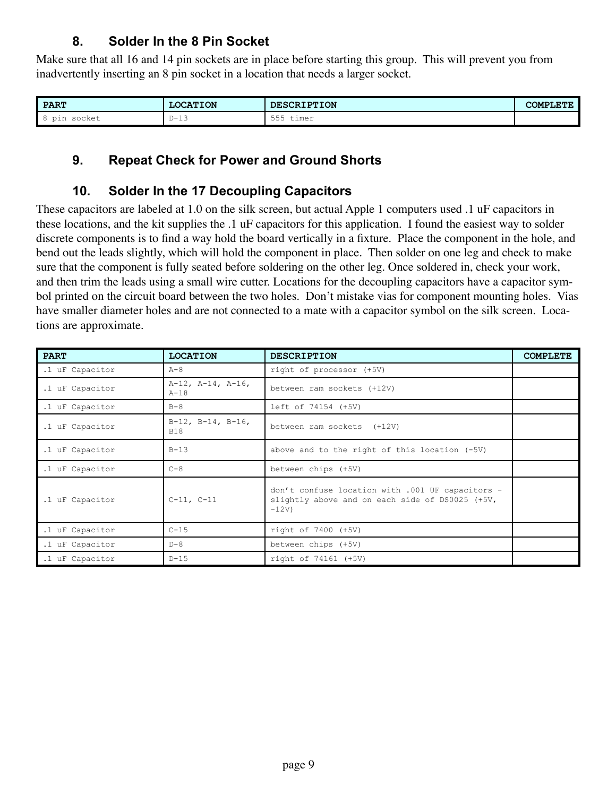#### **8. Solder In the 8 Pin Socket**

Make sure that all 16 and 14 pin sockets are in place before starting this group. This will prevent you from inadvertently inserting an 8 pin socket in a location that needs a larger socket.

| <b>PART</b>                     | <b>LOCATION</b>                                           | <b>DESCRIPTION</b>             | COMPLETE |
|---------------------------------|-----------------------------------------------------------|--------------------------------|----------|
| $\blacksquare$<br>socket<br>pin | $\overline{\phantom{a}}$<br>$D - 1$<br>◡<br>∸ →<br>$\sim$ | $- - -$<br>timer<br>555<br>--- |          |

#### **9. Repeat Check for Power and Ground Shorts**

#### **10. Solder In the 17 Decoupling Capacitors**

These capacitors are labeled at 1.0 on the silk screen, but actual Apple 1 computers used .1 uF capacitors in these locations, and the kit supplies the .1 uF capacitors for this application. I found the easiest way to solder discrete components is to find a way hold the board vertically in a fixture. Place the component in the hole, and bend out the leads slightly, which will hold the component in place. Then solder on one leg and check to make sure that the component is fully seated before soldering on the other leg. Once soldered in, check your work, and then trim the leads using a small wire cutter. Locations for the decoupling capacitors have a capacitor symbol printed on the circuit board between the two holes. Don't mistake vias for component mounting holes. Vias have smaller diameter holes and are not connected to a mate with a capacitor symbol on the silk screen. Locations are approximate.

| <b>PART</b>     | <b>LOCATION</b>                          | <b>DESCRIPTION</b>                                                                                            | <b>COMPLETE</b> |
|-----------------|------------------------------------------|---------------------------------------------------------------------------------------------------------------|-----------------|
| .1 uF Capacitor | $A-8$                                    | right of processor (+5V)                                                                                      |                 |
| .1 uF Capacitor | $A-12$ , $A-14$ , $A-16$ ,<br>$A-18$     | between ram sockets (+12V)                                                                                    |                 |
| .1 uF Capacitor | $B - 8$                                  | left of 74154 (+5V)                                                                                           |                 |
| .1 uF Capacitor | $B-12$ , $B-14$ , $B-16$ ,<br><b>B18</b> | between ram sockets (+12V)                                                                                    |                 |
| .1 uF Capacitor | $B-13$                                   | above and to the right of this location (-5V)                                                                 |                 |
| .1 uF Capacitor | $C-8$                                    | between chips (+5V)                                                                                           |                 |
| .1 uF Capacitor | $C-11, C-11$                             | don't confuse location with .001 UF capacitors -<br>slightly above and on each side of DS0025 (+5V,<br>$-12V$ |                 |
| .1 uF Capacitor | $C-15$                                   | right of 7400 (+5V)                                                                                           |                 |
| .1 uF Capacitor | $D-8$                                    | between chips (+5V)                                                                                           |                 |
| .1 uF Capacitor | $D-15$                                   | right of 74161 (+5V)                                                                                          |                 |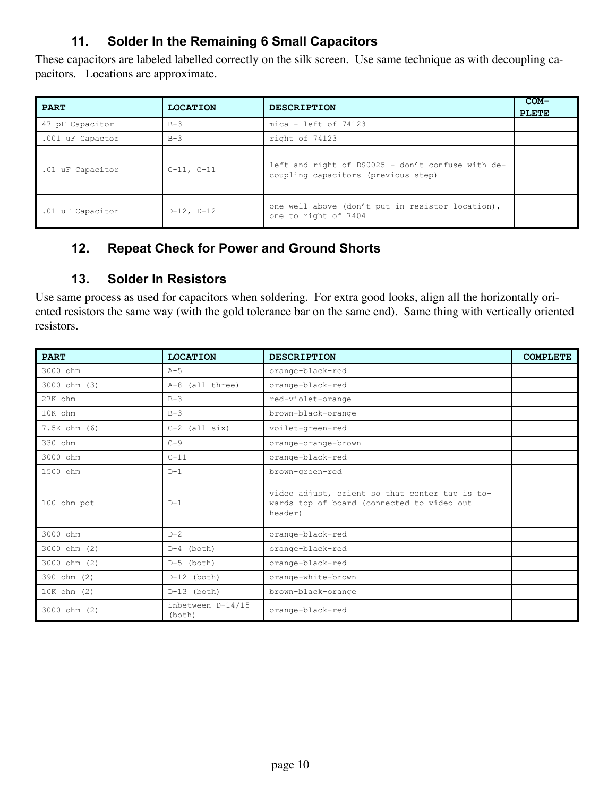# **11. Solder In the Remaining 6 Small Capacitors**

These capacitors are labeled labelled correctly on the silk screen. Use same technique as with decoupling capacitors. Locations are approximate.

| <b>PART</b>      | <b>LOCATION</b> | <b>DESCRIPTION</b>                                                                       | $COM-$<br><b>PLETE</b> |
|------------------|-----------------|------------------------------------------------------------------------------------------|------------------------|
| 47 pF Capacitor  | $B-3$           | $mica - left of 74123$                                                                   |                        |
| .001 uF Capactor | $B-3$           | right of 74123                                                                           |                        |
| .01 uF Capacitor | $C-11, C-11$    | left and right of DS0025 - don't confuse with de-<br>coupling capacitors (previous step) |                        |
| .01 uF Capacitor | $D-12$ , $D-12$ | one well above (don't put in resistor location),<br>one to right of 7404                 |                        |

# **12. Repeat Check for Power and Ground Shorts**

#### **13. Solder In Resistors**

Use same process as used for capacitors when soldering. For extra good looks, align all the horizontally oriented resistors the same way (with the gold tolerance bar on the same end). Same thing with vertically oriented resistors.

| <b>PART</b>      | <b>LOCATION</b>             | <b>DESCRIPTION</b>                                                                                      | <b>COMPLETE</b> |
|------------------|-----------------------------|---------------------------------------------------------------------------------------------------------|-----------------|
| 3000 ohm         | $A-5$                       | orange-black-red                                                                                        |                 |
| $3000$ ohm $(3)$ | A-8 (all three)             | orange-black-red                                                                                        |                 |
| 27K ohm          | $B-3$                       | red-violet-orange                                                                                       |                 |
| 10K ohm          | $B-3$                       | brown-black-orange                                                                                      |                 |
| $7.5K$ ohm $(6)$ | $C-2$ (all six)             | voilet-green-red                                                                                        |                 |
| 330 ohm          | $C - 9$                     | orange-orange-brown                                                                                     |                 |
| 3000 ohm         | $C-11$                      | orange-black-red                                                                                        |                 |
| 1500 ohm         | $D-1$                       | brown-green-red                                                                                         |                 |
| 100 ohm pot      | $D-1$                       | video adjust, orient so that center tap is to-<br>wards top of board (connected to video out<br>header) |                 |
| 3000 ohm         | $D-2$                       | orange-black-red                                                                                        |                 |
| $3000$ ohm $(2)$ | $D-4$ (both)                | orange-black-red                                                                                        |                 |
| $3000$ ohm $(2)$ | $D-5$ (both)                | orange-black-red                                                                                        |                 |
| 390 ohm (2)      | $D-12$ (both)               | orange-white-brown                                                                                      |                 |
| 10K ohm (2)      | $D-13$ (both)               | brown-black-orange                                                                                      |                 |
| $3000$ ohm $(2)$ | inbetween D-14/15<br>(both) | orange-black-red                                                                                        |                 |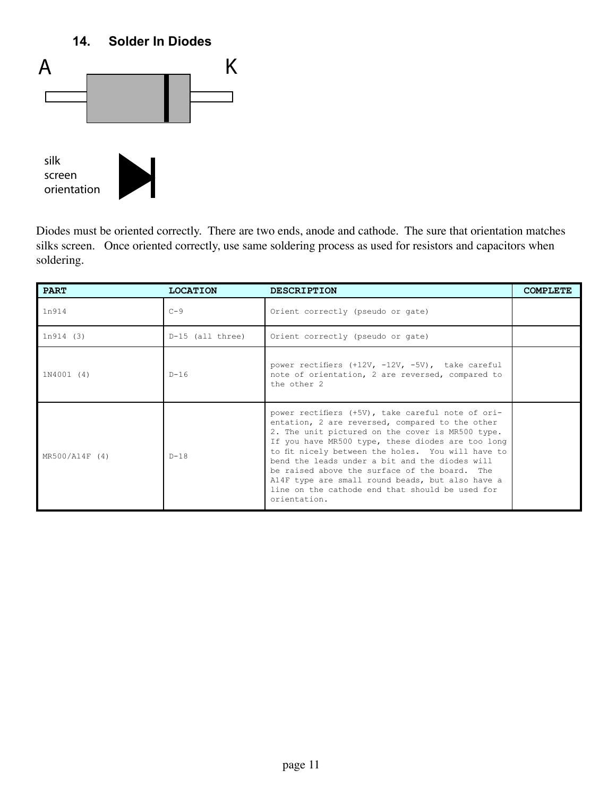# **14. Solder In Diodes**



Diodes must be oriented correctly. There are two ends, anode and cathode. The sure that orientation matches silks screen. Once oriented correctly, use same soldering process as used for resistors and capacitors when soldering.

| <b>PART</b>    | <b>LOCATION</b>    | <b>DESCRIPTION</b>                                                                                                                                                                                                                                                                                                                                                                                                                                                                           | <b>COMPLETE</b> |
|----------------|--------------------|----------------------------------------------------------------------------------------------------------------------------------------------------------------------------------------------------------------------------------------------------------------------------------------------------------------------------------------------------------------------------------------------------------------------------------------------------------------------------------------------|-----------------|
| 1n914          | $C - 9$            | Orient correctly (pseudo or gate)                                                                                                                                                                                                                                                                                                                                                                                                                                                            |                 |
| 1n914(3)       | $D-15$ (all three) | Orient correctly (pseudo or gate)                                                                                                                                                                                                                                                                                                                                                                                                                                                            |                 |
| 1N4001 (4)     | $D - 16$           | power rectifiers (+12V, -12V, -5V), take careful<br>note of orientation, 2 are reversed, compared to<br>the other 2                                                                                                                                                                                                                                                                                                                                                                          |                 |
| MR500/A14F (4) | $D-18$             | power rectifiers (+5V), take careful note of ori-<br>entation, 2 are reversed, compared to the other<br>2. The unit pictured on the cover is MR500 type.<br>If you have MR500 type, these diodes are too long<br>to fit nicely between the holes. You will have to<br>bend the leads under a bit and the diodes will<br>be raised above the surface of the board. The<br>A14F type are small round beads, but also have a<br>line on the cathode end that should be used for<br>orientation. |                 |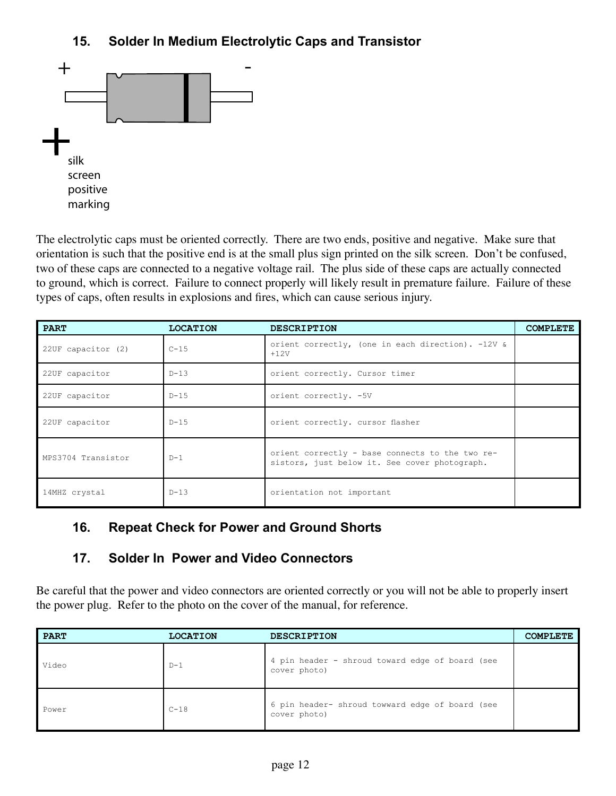# **15. Solder In Medium Electrolytic Caps and Transistor**



The electrolytic caps must be oriented correctly. There are two ends, positive and negative. Make sure that orientation is such that the positive end is at the small plus sign printed on the silk screen. Don't be confused, two of these caps are connected to a negative voltage rail. The plus side of these caps are actually connected to ground, which is correct. Failure to connect properly will likely result in premature failure. Failure of these types of caps, often results in explosions and fires, which can cause serious injury.

| <b>PART</b>        | <b>LOCATION</b> | <b>DESCRIPTION</b>                                                                               | <b>COMPLETE</b> |
|--------------------|-----------------|--------------------------------------------------------------------------------------------------|-----------------|
| 22UF capacitor (2) | $C-15$          | orient correctly, (one in each direction). -12V &<br>$+12V$                                      |                 |
| 22UF capacitor     | $D-13$          | orient correctly. Cursor timer                                                                   |                 |
| 22UF capacitor     | $D-15$          | orient correctly. -5V                                                                            |                 |
| 22UF capacitor     | $D-15$          | orient correctly. cursor flasher                                                                 |                 |
| MPS3704 Transistor | $D-1$           | orient correctly - base connects to the two re-<br>sistors, just below it. See cover photograph. |                 |
| 14MHZ crystal      | $D-13$          | orientation not important                                                                        |                 |

#### **16. Repeat Check for Power and Ground Shorts**

#### **17. Solder In Power and Video Connectors**

Be careful that the power and video connectors are oriented correctly or you will not be able to properly insert the power plug. Refer to the photo on the cover of the manual, for reference.

| <b>PART</b> | <b>LOCATION</b> | <b>DESCRIPTION</b>                                              | <b>COMPLETE</b> |
|-------------|-----------------|-----------------------------------------------------------------|-----------------|
| Video       | $D-1$           | 4 pin header - shroud toward edge of board (see<br>cover photo) |                 |
| Power       | $C-18$          | 6 pin header- shroud towward edge of board (see<br>cover photo) |                 |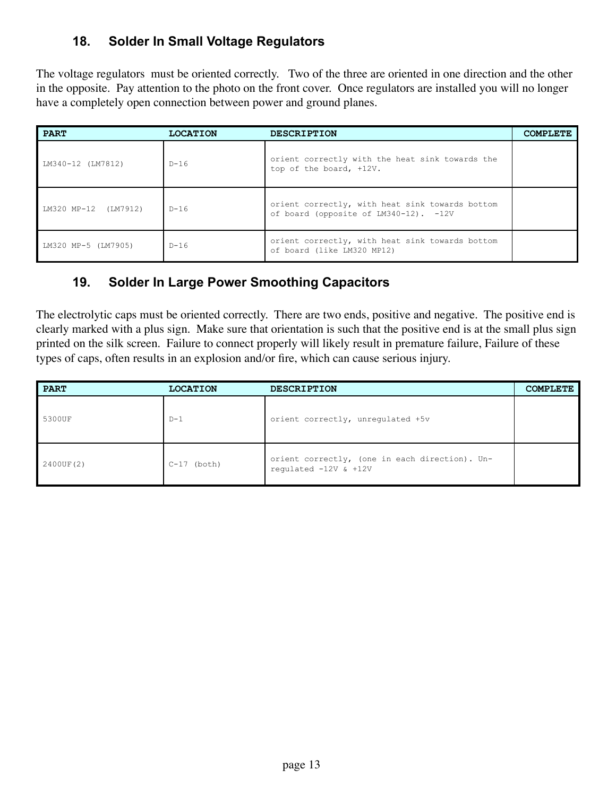# **18. Solder In Small Voltage Regulators**

The voltage regulators must be oriented correctly. Two of the three are oriented in one direction and the other in the opposite. Pay attention to the photo on the front cover. Once regulators are installed you will no longer have a completely open connection between power and ground planes.

| <b>PART</b>          | <b>LOCATION</b> | <b>DESCRIPTION</b>                                                                       | <b>COMPLETE</b> |
|----------------------|-----------------|------------------------------------------------------------------------------------------|-----------------|
| LM340-12 (LM7812)    | D-16            | orient correctly with the heat sink towards the<br>top of the board, +12V.               |                 |
| LM320 MP-12 (LM7912) | $D-16$          | orient correctly, with heat sink towards bottom<br>of board (opposite of LM340-12). -12V |                 |
| LM320 MP-5 (LM7905)  | $D-16$          | orient correctly, with heat sink towards bottom<br>of board (like LM320 MP12)            |                 |

# **19. Solder In Large Power Smoothing Capacitors**

The electrolytic caps must be oriented correctly. There are two ends, positive and negative. The positive end is clearly marked with a plus sign. Make sure that orientation is such that the positive end is at the small plus sign printed on the silk screen. Failure to connect properly will likely result in premature failure, Failure of these types of caps, often results in an explosion and/or fire, which can cause serious injury.

| <b>PART</b> | <b>LOCATION</b> | <b>DESCRIPTION</b>                                                          | <b>COMPLETE</b> |
|-------------|-----------------|-----------------------------------------------------------------------------|-----------------|
| 5300UF      | $D-1$           | orient correctly, unregulated +5v                                           |                 |
| 2400UF(2)   | $C-17$ (both)   | orient correctly, (one in each direction). Un-<br>requlated $-12V$ & $+12V$ |                 |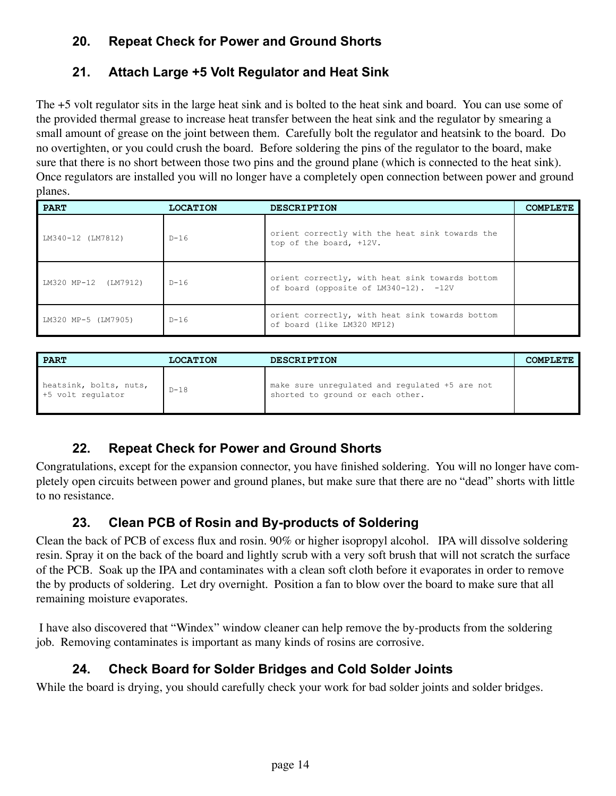# **20. Repeat Check for Power and Ground Shorts**

# **21. Attach Large +5 Volt Regulator and Heat Sink**

The +5 volt regulator sits in the large heat sink and is bolted to the heat sink and board. You can use some of the provided thermal grease to increase heat transfer between the heat sink and the regulator by smearing a small amount of grease on the joint between them. Carefully bolt the regulator and heatsink to the board. Do no overtighten, or you could crush the board. Before soldering the pins of the regulator to the board, make sure that there is no short between those two pins and the ground plane (which is connected to the heat sink). Once regulators are installed you will no longer have a completely open connection between power and ground planes.

| <b>PART</b>             | <b>LOCATION</b> | <b>DESCRIPTION</b>                                                                       | <b>COMPLETE</b> |
|-------------------------|-----------------|------------------------------------------------------------------------------------------|-----------------|
| LM340-12 (LM7812)       | $D-16$          | orient correctly with the heat sink towards the<br>top of the board, +12V.               |                 |
| LM320 MP-12<br>(LM7912) | $D-16$          | orient correctly, with heat sink towards bottom<br>of board (opposite of LM340-12). -12V |                 |
| LM320 MP-5 (LM7905)     | $D-16$          | orient correctly, with heat sink towards bottom<br>of board (like LM320 MP12)            |                 |

| <b>PART</b>                                 | <b>LOCATION</b> | <b>DESCRIPTION</b>                                                                 | COMPT.F.TF. |
|---------------------------------------------|-----------------|------------------------------------------------------------------------------------|-------------|
| heatsink, bolts, nuts,<br>+5 volt regulator | $D-18$          | make sure unregulated and regulated +5 are not<br>shorted to ground or each other. |             |

# **22. Repeat Check for Power and Ground Shorts**

Congratulations, except for the expansion connector, you have finished soldering. You will no longer have completely open circuits between power and ground planes, but make sure that there are no "dead" shorts with little to no resistance.

# **23. Clean PCB of Rosin and By-products of Soldering**

Clean the back of PCB of excess flux and rosin. 90% or higher isopropyl alcohol. IPA will dissolve soldering resin. Spray it on the back of the board and lightly scrub with a very soft brush that will not scratch the surface of the PCB. Soak up the IPA and contaminates with a clean soft cloth before it evaporates in order to remove the by products of soldering. Let dry overnight. Position a fan to blow over the board to make sure that all remaining moisture evaporates.

 I have also discovered that "Windex" window cleaner can help remove the by-products from the soldering job. Removing contaminates is important as many kinds of rosins are corrosive.

# **24. Check Board for Solder Bridges and Cold Solder Joints**

While the board is drying, you should carefully check your work for bad solder joints and solder bridges.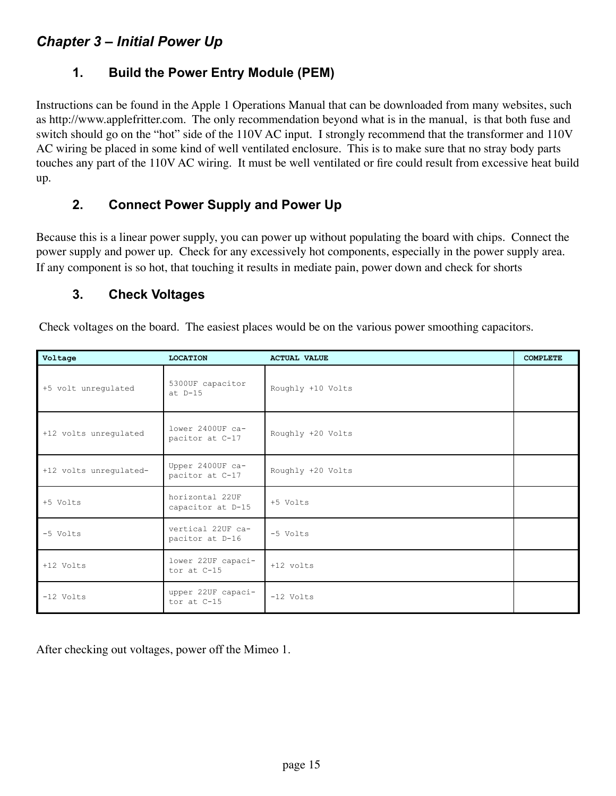#### *Chapter 3 – Initial Power Up*

#### **1. Build the Power Entry Module (PEM)**

Instructions can be found in the Apple 1 Operations Manual that can be downloaded from many websites, such as http://www.applefritter.com. The only recommendation beyond what is in the manual, is that both fuse and switch should go on the "hot" side of the 110V AC input. I strongly recommend that the transformer and 110V AC wiring be placed in some kind of well ventilated enclosure. This is to make sure that no stray body parts touches any part of the 110V AC wiring. It must be well ventilated or fire could result from excessive heat build up.

#### **2. Connect Power Supply and Power Up**

Because this is a linear power supply, you can power up without populating the board with chips. Connect the power supply and power up. Check for any excessively hot components, especially in the power supply area. If any component is so hot, that touching it results in mediate pain, power down and check for shorts

#### **3. Check Voltages**

Check voltages on the board. The easiest places would be on the various power smoothing capacitors.

| Voltage                | <b>LOCATION</b>                      | <b>ACTUAL VALUE</b> | <b>COMPLETE</b> |
|------------------------|--------------------------------------|---------------------|-----------------|
| +5 volt unregulated    | 5300UF capacitor<br>$at$ $D-15$      | Roughly +10 Volts   |                 |
| +12 volts unrequlated  | lower 2400UF ca-<br>pacitor at C-17  | Roughly +20 Volts   |                 |
| +12 volts unregulated- | Upper 2400UF ca-<br>pacitor at C-17  | Roughly +20 Volts   |                 |
| +5 Volts               | horizontal 22UF<br>capacitor at D-15 | +5 Volts            |                 |
| -5 Volts               | vertical 22UF ca-<br>pacitor at D-16 | -5 Volts            |                 |
| +12 Volts              | lower 22UF capaci-<br>tor at C-15    | $+12$ volts         |                 |
| $-12$ Volts            | upper 22UF capaci-<br>tor at C-15    | $-12$ Volts         |                 |

After checking out voltages, power off the Mimeo 1.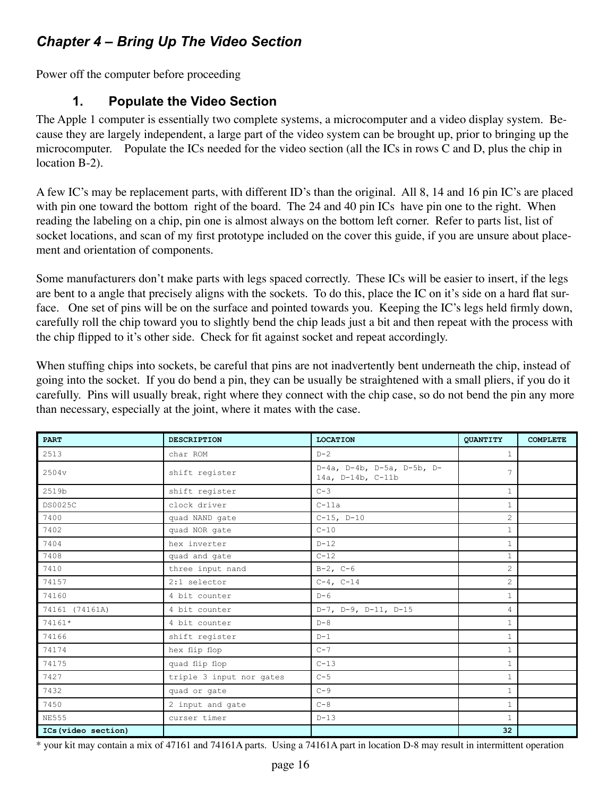# *Chapter 4 – Bring Up The Video Section*

Power off the computer before proceeding

#### **1. Populate the Video Section**

The Apple 1 computer is essentially two complete systems, a microcomputer and a video display system. Because they are largely independent, a large part of the video system can be brought up, prior to bringing up the microcomputer. Populate the ICs needed for the video section (all the ICs in rows C and D, plus the chip in location B-2).

A few IC's may be replacement parts, with different ID's than the original. All 8, 14 and 16 pin IC's are placed with pin one toward the bottom right of the board. The 24 and 40 pin ICs have pin one to the right. When reading the labeling on a chip, pin one is almost always on the bottom left corner. Refer to parts list, list of socket locations, and scan of my first prototype included on the cover this guide, if you are unsure about placement and orientation of components.

Some manufacturers don't make parts with legs spaced correctly. These ICs will be easier to insert, if the legs are bent to a angle that precisely aligns with the sockets. To do this, place the IC on it's side on a hard flat surface. One set of pins will be on the surface and pointed towards you. Keeping the IC's legs held firmly down, carefully roll the chip toward you to slightly bend the chip leads just a bit and then repeat with the process with the chip flipped to it's other side. Check for fit against socket and repeat accordingly.

When stuffing chips into sockets, be careful that pins are not inadvertently bent underneath the chip, instead of going into the socket. If you do bend a pin, they can be usually be straightened with a small pliers, if you do it carefully. Pins will usually break, right where they connect with the chip case, so do not bend the pin any more than necessary, especially at the joint, where it mates with the case.

| <b>PART</b>         | <b>DESCRIPTION</b>       | <b>LOCATION</b>                                 | <b>QUANTITY</b> | <b>COMPLETE</b> |
|---------------------|--------------------------|-------------------------------------------------|-----------------|-----------------|
| 2513                | char ROM                 | $D-2$                                           | $\mathbf{1}$    |                 |
| 2504v               | shift register           | D-4a, D-4b, D-5a, D-5b, D-<br>14a, D-14b, C-11b | 7               |                 |
| 2519b               | shift register           | $C-3$                                           | $\mathbf{1}$    |                 |
| <b>DS0025C</b>      | clock driver             | $C-11a$                                         | $\mathbf{1}$    |                 |
| 7400                | quad NAND gate           | $C-15$ , $D-10$                                 | $\mathbf{2}$    |                 |
| 7402                | quad NOR gate            | $C-10$                                          | $\mathbf{1}$    |                 |
| 7404                | hex inverter             | $D-12$                                          | $\mathbf{1}$    |                 |
| 7408                | quad and gate            | $C-12$                                          | $\mathbf{1}$    |                 |
| 7410                | three input nand         | $B-2$ , $C-6$                                   | 2               |                 |
| 74157               | 2:1 selector             | $C-4$ , $C-14$                                  | $\mathbf{2}$    |                 |
| 74160               | 4 bit counter            | $D-6$                                           | $\mathbf{1}$    |                 |
| 74161 (74161A)      | 4 bit counter            | D-7, D-9, D-11, D-15                            | 4               |                 |
| 74161*              | 4 bit counter            | $D - 8$                                         | $\mathbf{1}$    |                 |
| 74166               | shift register           | $D-1$                                           | $\mathbf{1}$    |                 |
| 74174               | hex flip flop            | $C-7$                                           | $\mathbf{1}$    |                 |
| 74175               | quad flip flop           | $C-13$                                          | $\mathbf{1}$    |                 |
| 7427                | triple 3 input nor gates | $C-5$                                           | $\mathbf{1}$    |                 |
| 7432                | quad or gate             | $C-9$                                           | $\mathbf{1}$    |                 |
| 7450                | 2 input and gate         | $C-8$                                           | $\mathbf{1}$    |                 |
| <b>NE555</b>        | curser timer             | $D-13$                                          | $\mathbf{1}$    |                 |
| ICs (video section) |                          |                                                 | 32              |                 |

\* your kit may contain a mix of 47161 and 74161A parts. Using a 74161A part in location D-8 may result in intermittent operation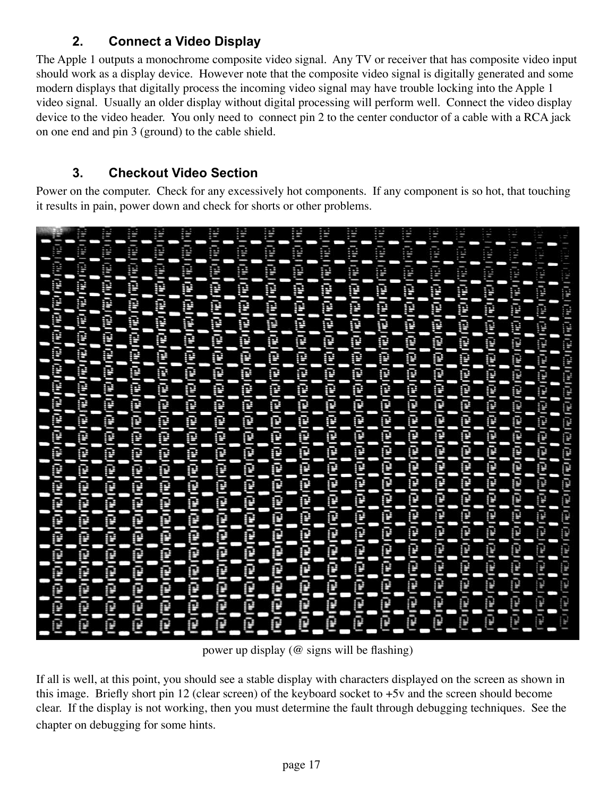# **2. Connect a Video Display**

The Apple 1 outputs a monochrome composite video signal. Any TV or receiver that has composite video input should work as a display device. However note that the composite video signal is digitally generated and some modern displays that digitally process the incoming video signal may have trouble locking into the Apple 1 video signal. Usually an older display without digital processing will perform well. Connect the video display device to the video header. You only need to connect pin 2 to the center conductor of a cable with a RCA jack on one end and pin 3 (ground) to the cable shield.

# **3. Checkout Video Section**

Power on the computer. Check for any excessively hot components. If any component is so hot, that touching it results in pain, power down and check for shorts or other problems.



power up display (@ signs will be flashing)

If all is well, at this point, you should see a stable display with characters displayed on the screen as shown in this image. Briefly short pin 12 (clear screen) of the keyboard socket to +5v and the screen should become clear. If the display is not working, then you must determine the fault through debugging techniques. See the chapter on debugging for some hints.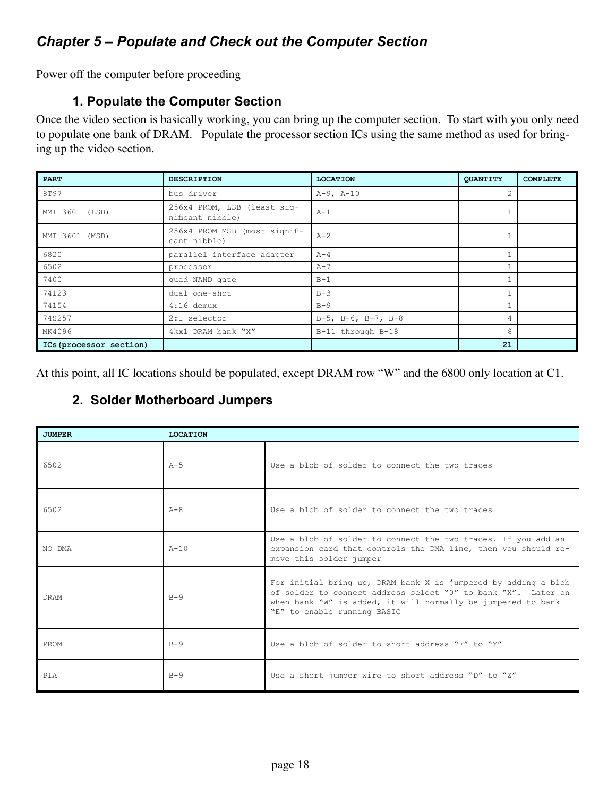# *Chapter 5 – Populate and Check out the Computer Section*

Power off the computer before proceeding

#### **1. Populate the Computer Section**

Once the video section is basically working, you can bring up the computer section. To start with you only need to populate one bank of DRAM. Populate the processor section ICs using the same method as used for bringing up the video section.

| <b>PART</b>             | <b>DESCRIPTION</b>                              | <b>LOCATION</b>               | <b>QUANTITY</b> | <b>COMPLETE</b> |
|-------------------------|-------------------------------------------------|-------------------------------|-----------------|-----------------|
| 8T97                    | bus driver                                      | $A-9$ , $A-10$                | $\overline{c}$  |                 |
| MMI 3601 (LSB)          | 256x4 PROM, LSB (least sig-<br>nificant nibble) | $A-1$                         |                 |                 |
| MMI 3601 (MSB)          | 256x4 PROM MSB (most signifi-<br>cant nibble)   | $A-2$                         |                 |                 |
| 6820                    | parallel interface adapter                      | $A - 4$                       |                 |                 |
| 6502                    | processor                                       | $A-7$                         |                 |                 |
| 7400                    | quad NAND gate                                  | $B-1$                         |                 |                 |
| 74123                   | dual one-shot                                   | $B-3$                         |                 |                 |
| 74154                   | $4:16$ demux                                    | $B-9$                         |                 |                 |
| 74S257                  | $2:1$ selector                                  | $B-5$ , $B-6$ , $B-7$ , $B-8$ | 4               |                 |
| MK4096                  | 4kx1 DRAM bank "X"                              | B-11 through B-18             | 8               |                 |
| ICs (processor section) |                                                 |                               | 21              |                 |

At this point, all IC locations should be populated, except DRAM row "W" and the 6800 only location at C1.

#### **2. Solder Motherboard Jumpers**

| <b>JUMPER</b> | <b>LOCATION</b> |                                                                                                                                                                                                                                |
|---------------|-----------------|--------------------------------------------------------------------------------------------------------------------------------------------------------------------------------------------------------------------------------|
| 6502          | $A - 5$         | Use a blob of solder to connect the two traces                                                                                                                                                                                 |
| 6502          | $A - 8$         | Use a blob of solder to connect the two traces                                                                                                                                                                                 |
| NO DMA        | $A-10$          | Use a blob of solder to connect the two traces. If you add an<br>expansion card that controls the DMA line, then you should re-<br>move this solder jumper                                                                     |
| <b>DRAM</b>   | $B - 9$         | For initial bring up, DRAM bank X is jumpered by adding a blob<br>of solder to connect address select "0" to bank "X". Later on<br>when bank "W" is added, it will normally be jumpered to bank<br>"E" to enable running BASIC |
| PROM          | $B - 9$         | Use a blob of solder to short address "F" to "Y"                                                                                                                                                                               |
| PTA           | $B - 9$         | Use a short jumper wire to short address "D" to "Z"                                                                                                                                                                            |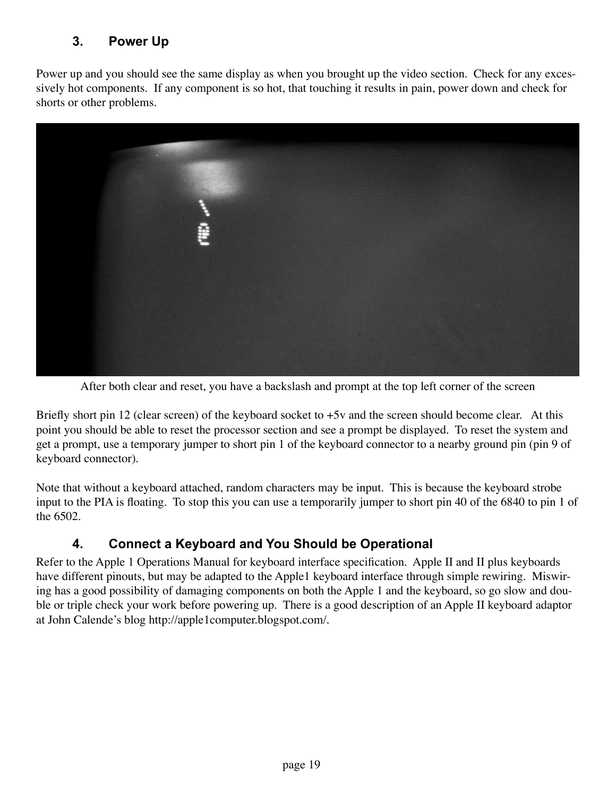# **3. Power Up**

Power up and you should see the same display as when you brought up the video section. Check for any excessively hot components. If any component is so hot, that touching it results in pain, power down and check for shorts or other problems.



After both clear and reset, you have a backslash and prompt at the top left corner of the screen

Briefly short pin 12 (clear screen) of the keyboard socket to  $+5v$  and the screen should become clear. At this point you should be able to reset the processor section and see a prompt be displayed. To reset the system and get a prompt, use a temporary jumper to short pin 1 of the keyboard connector to a nearby ground pin (pin 9 of keyboard connector).

Note that without a keyboard attached, random characters may be input. This is because the keyboard strobe input to the PIA is floating. To stop this you can use a temporarily jumper to short pin 40 of the 6840 to pin 1 of the 6502.

#### **4. Connect a Keyboard and You Should be Operational**

Refer to the Apple 1 Operations Manual for keyboard interface specification. Apple II and II plus keyboards have different pinouts, but may be adapted to the Apple1 keyboard interface through simple rewiring. Miswiring has a good possibility of damaging components on both the Apple 1 and the keyboard, so go slow and double or triple check your work before powering up. There is a good description of an Apple II keyboard adaptor at John Calende's blog http://apple1computer.blogspot.com/.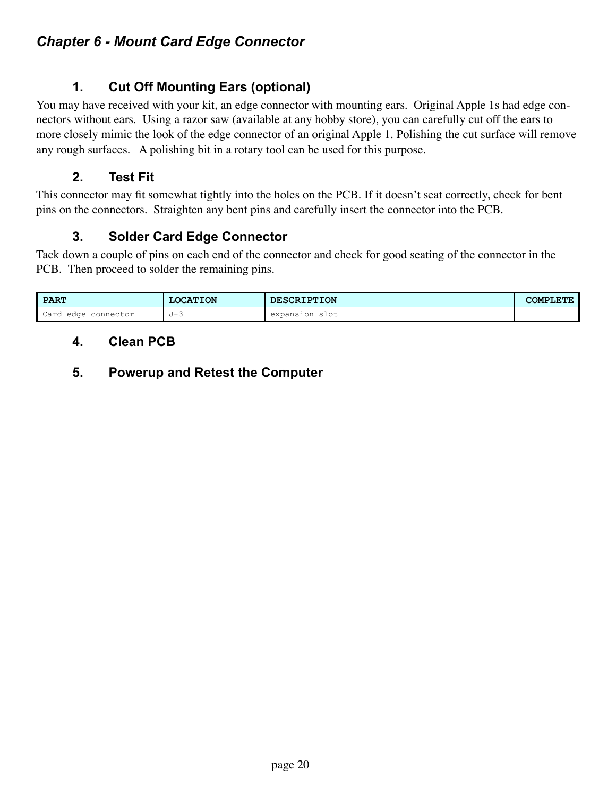# **1. Cut Off Mounting Ears (optional)**

You may have received with your kit, an edge connector with mounting ears. Original Apple 1s had edge connectors without ears. Using a razor saw (available at any hobby store), you can carefully cut off the ears to more closely mimic the look of the edge connector of an original Apple 1. Polishing the cut surface will remove any rough surfaces. A polishing bit in a rotary tool can be used for this purpose.

#### **2. Test Fit**

This connector may fit somewhat tightly into the holes on the PCB. If it doesn't seat correctly, check for bent pins on the connectors. Straighten any bent pins and carefully insert the connector into the PCB.

# **3. Solder Card Edge Connector**

Tack down a couple of pins on each end of the connector and check for good seating of the connector in the PCB. Then proceed to solder the remaining pins.

| <b>PART</b>                    | <b>LOCATION</b> | <b>DESCRIPTION</b>                                         | <b>GTE</b><br><b>COMPLE'</b> |
|--------------------------------|-----------------|------------------------------------------------------------|------------------------------|
| Card<br>connector<br>edge<br>. | .⊤– R<br>U J    | $\circ$ $\circ$ $\circ$ $\circ$<br>expansion<br>-2106<br>. |                              |

#### **4. Clean PCB**

# **5. Powerup and Retest the Computer**